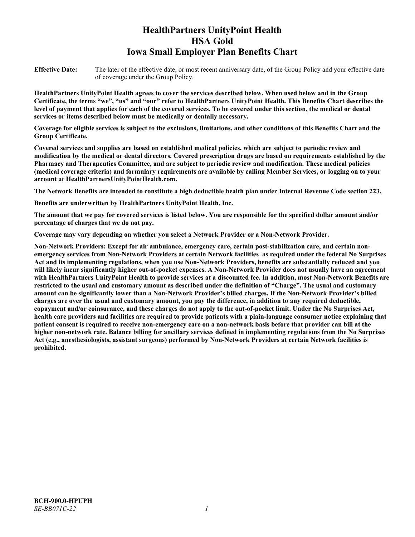# **HealthPartners UnityPoint Health HSA Gold Iowa Small Employer Plan Benefits Chart**

**Effective Date:** The later of the effective date, or most recent anniversary date, of the Group Policy and your effective date of coverage under the Group Policy.

**HealthPartners UnityPoint Health agrees to cover the services described below. When used below and in the Group Certificate, the terms "we", "us" and "our" refer to HealthPartners UnityPoint Health. This Benefits Chart describes the level of payment that applies for each of the covered services. To be covered under this section, the medical or dental services or items described below must be medically or dentally necessary.**

**Coverage for eligible services is subject to the exclusions, limitations, and other conditions of this Benefits Chart and the Group Certificate.** 

**Covered services and supplies are based on established medical policies, which are subject to periodic review and modification by the medical or dental directors. Covered prescription drugs are based on requirements established by the Pharmacy and Therapeutics Committee, and are subject to periodic review and modification. These medical policies (medical coverage criteria) and formulary requirements are available by calling Member Services, or logging on to your account at [HealthPartnersUnityPointHealth.com.](https://www.healthpartnersunitypointhealth.com/)**

**The Network Benefits are intended to constitute a high deductible health plan under Internal Revenue Code section 223.**

**Benefits are underwritten by HealthPartners UnityPoint Health, Inc.**

**The amount that we pay for covered services is listed below. You are responsible for the specified dollar amount and/or percentage of charges that we do not pay.**

**Coverage may vary depending on whether you select a Network Provider or a Non-Network Provider.**

**Non-Network Providers: Except for air ambulance, emergency care, certain post-stabilization care, and certain nonemergency services from Non-Network Providers at certain Network facilities as required under the federal No Surprises Act and its implementing regulations, when you use Non-Network Providers, benefits are substantially reduced and you will likely incur significantly higher out-of-pocket expenses. A Non-Network Provider does not usually have an agreement with HealthPartners UnityPoint Health to provide services at a discounted fee. In addition, most Non-Network Benefits are restricted to the usual and customary amount as described under the definition of "Charge". The usual and customary amount can be significantly lower than a Non-Network Provider's billed charges. If the Non-Network Provider's billed charges are over the usual and customary amount, you pay the difference, in addition to any required deductible, copayment and/or coinsurance, and these charges do not apply to the out-of-pocket limit. Under the No Surprises Act, health care providers and facilities are required to provide patients with a plain-language consumer notice explaining that patient consent is required to receive non-emergency care on a non-network basis before that provider can bill at the higher non-network rate. Balance billing for ancillary services defined in implementing regulations from the No Surprises Act (e.g., anesthesiologists, assistant surgeons) performed by Non-Network Providers at certain Network facilities is prohibited.**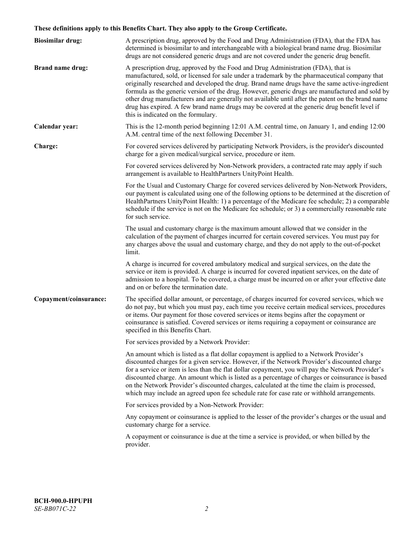# **These definitions apply to this Benefits Chart. They also apply to the Group Certificate.**

| <b>Biosimilar drug:</b> | A prescription drug, approved by the Food and Drug Administration (FDA), that the FDA has<br>determined is biosimilar to and interchangeable with a biological brand name drug. Biosimilar<br>drugs are not considered generic drugs and are not covered under the generic drug benefit.                                                                                                                                                                                                                                                                                                                                           |
|-------------------------|------------------------------------------------------------------------------------------------------------------------------------------------------------------------------------------------------------------------------------------------------------------------------------------------------------------------------------------------------------------------------------------------------------------------------------------------------------------------------------------------------------------------------------------------------------------------------------------------------------------------------------|
| <b>Brand name drug:</b> | A prescription drug, approved by the Food and Drug Administration (FDA), that is<br>manufactured, sold, or licensed for sale under a trademark by the pharmaceutical company that<br>originally researched and developed the drug. Brand name drugs have the same active-ingredient<br>formula as the generic version of the drug. However, generic drugs are manufactured and sold by<br>other drug manufacturers and are generally not available until after the patent on the brand name<br>drug has expired. A few brand name drugs may be covered at the generic drug benefit level if<br>this is indicated on the formulary. |
| Calendar year:          | This is the 12-month period beginning 12:01 A.M. central time, on January 1, and ending 12:00<br>A.M. central time of the next following December 31.                                                                                                                                                                                                                                                                                                                                                                                                                                                                              |
| Charge:                 | For covered services delivered by participating Network Providers, is the provider's discounted<br>charge for a given medical/surgical service, procedure or item.                                                                                                                                                                                                                                                                                                                                                                                                                                                                 |
|                         | For covered services delivered by Non-Network providers, a contracted rate may apply if such<br>arrangement is available to HealthPartners UnityPoint Health.                                                                                                                                                                                                                                                                                                                                                                                                                                                                      |
|                         | For the Usual and Customary Charge for covered services delivered by Non-Network Providers,<br>our payment is calculated using one of the following options to be determined at the discretion of<br>HealthPartners UnityPoint Health: 1) a percentage of the Medicare fee schedule; 2) a comparable<br>schedule if the service is not on the Medicare fee schedule; or 3) a commercially reasonable rate<br>for such service.                                                                                                                                                                                                     |
|                         | The usual and customary charge is the maximum amount allowed that we consider in the<br>calculation of the payment of charges incurred for certain covered services. You must pay for<br>any charges above the usual and customary charge, and they do not apply to the out-of-pocket<br>limit.                                                                                                                                                                                                                                                                                                                                    |
|                         | A charge is incurred for covered ambulatory medical and surgical services, on the date the<br>service or item is provided. A charge is incurred for covered inpatient services, on the date of<br>admission to a hospital. To be covered, a charge must be incurred on or after your effective date<br>and on or before the termination date.                                                                                                                                                                                                                                                                                      |
| Copayment/coinsurance:  | The specified dollar amount, or percentage, of charges incurred for covered services, which we<br>do not pay, but which you must pay, each time you receive certain medical services, procedures<br>or items. Our payment for those covered services or items begins after the copayment or<br>coinsurance is satisfied. Covered services or items requiring a copayment or coinsurance are<br>specified in this Benefits Chart.                                                                                                                                                                                                   |
|                         | For services provided by a Network Provider:                                                                                                                                                                                                                                                                                                                                                                                                                                                                                                                                                                                       |
|                         | An amount which is listed as a flat dollar copayment is applied to a Network Provider's<br>discounted charges for a given service. However, if the Network Provider's discounted charge<br>for a service or item is less than the flat dollar copayment, you will pay the Network Provider's<br>discounted charge. An amount which is listed as a percentage of charges or coinsurance is based<br>on the Network Provider's discounted charges, calculated at the time the claim is processed,<br>which may include an agreed upon fee schedule rate for case rate or withhold arrangements.                                      |
|                         | For services provided by a Non-Network Provider:                                                                                                                                                                                                                                                                                                                                                                                                                                                                                                                                                                                   |
|                         | Any copayment or coinsurance is applied to the lesser of the provider's charges or the usual and<br>customary charge for a service.                                                                                                                                                                                                                                                                                                                                                                                                                                                                                                |
|                         | A copayment or coinsurance is due at the time a service is provided, or when billed by the<br>provider.                                                                                                                                                                                                                                                                                                                                                                                                                                                                                                                            |
|                         |                                                                                                                                                                                                                                                                                                                                                                                                                                                                                                                                                                                                                                    |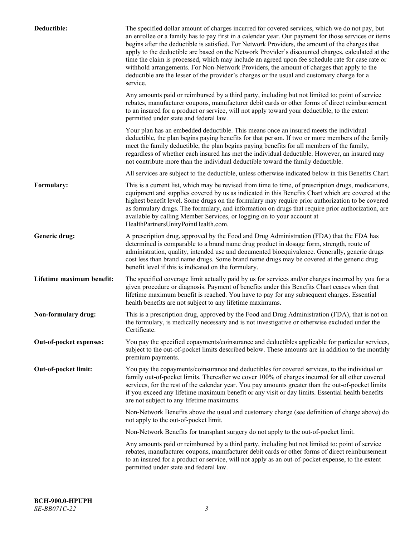| Deductible:               | The specified dollar amount of charges incurred for covered services, which we do not pay, but<br>an enrollee or a family has to pay first in a calendar year. Our payment for those services or items<br>begins after the deductible is satisfied. For Network Providers, the amount of the charges that<br>apply to the deductible are based on the Network Provider's discounted charges, calculated at the<br>time the claim is processed, which may include an agreed upon fee schedule rate for case rate or<br>withhold arrangements. For Non-Network Providers, the amount of charges that apply to the<br>deductible are the lesser of the provider's charges or the usual and customary charge for a<br>service. |
|---------------------------|----------------------------------------------------------------------------------------------------------------------------------------------------------------------------------------------------------------------------------------------------------------------------------------------------------------------------------------------------------------------------------------------------------------------------------------------------------------------------------------------------------------------------------------------------------------------------------------------------------------------------------------------------------------------------------------------------------------------------|
|                           | Any amounts paid or reimbursed by a third party, including but not limited to: point of service<br>rebates, manufacturer coupons, manufacturer debit cards or other forms of direct reimbursement<br>to an insured for a product or service, will not apply toward your deductible, to the extent<br>permitted under state and federal law.                                                                                                                                                                                                                                                                                                                                                                                |
|                           | Your plan has an embedded deductible. This means once an insured meets the individual<br>deductible, the plan begins paying benefits for that person. If two or more members of the family<br>meet the family deductible, the plan begins paying benefits for all members of the family,<br>regardless of whether each insured has met the individual deductible. However, an insured may<br>not contribute more than the individual deductible toward the family deductible.                                                                                                                                                                                                                                              |
|                           | All services are subject to the deductible, unless otherwise indicated below in this Benefits Chart.                                                                                                                                                                                                                                                                                                                                                                                                                                                                                                                                                                                                                       |
| Formulary:                | This is a current list, which may be revised from time to time, of prescription drugs, medications,<br>equipment and supplies covered by us as indicated in this Benefits Chart which are covered at the<br>highest benefit level. Some drugs on the formulary may require prior authorization to be covered<br>as formulary drugs. The formulary, and information on drugs that require prior authorization, are<br>available by calling Member Services, or logging on to your account at<br>HealthPartnersUnityPointHealth.com.                                                                                                                                                                                         |
| Generic drug:             | A prescription drug, approved by the Food and Drug Administration (FDA) that the FDA has<br>determined is comparable to a brand name drug product in dosage form, strength, route of<br>administration, quality, intended use and documented bioequivalence. Generally, generic drugs<br>cost less than brand name drugs. Some brand name drugs may be covered at the generic drug<br>benefit level if this is indicated on the formulary.                                                                                                                                                                                                                                                                                 |
| Lifetime maximum benefit: | The specified coverage limit actually paid by us for services and/or charges incurred by you for a<br>given procedure or diagnosis. Payment of benefits under this Benefits Chart ceases when that<br>lifetime maximum benefit is reached. You have to pay for any subsequent charges. Essential<br>health benefits are not subject to any lifetime maximums.                                                                                                                                                                                                                                                                                                                                                              |
| Non-formulary drug:       | This is a prescription drug, approved by the Food and Drug Administration (FDA), that is not on<br>the formulary, is medically necessary and is not investigative or otherwise excluded under the<br>Certificate.                                                                                                                                                                                                                                                                                                                                                                                                                                                                                                          |
| Out-of-pocket expenses:   | You pay the specified copayments/coinsurance and deductibles applicable for particular services,<br>subject to the out-of-pocket limits described below. These amounts are in addition to the monthly<br>premium payments.                                                                                                                                                                                                                                                                                                                                                                                                                                                                                                 |
| Out-of-pocket limit:      | You pay the copayments/coinsurance and deductibles for covered services, to the individual or<br>family out-of-pocket limits. Thereafter we cover 100% of charges incurred for all other covered<br>services, for the rest of the calendar year. You pay amounts greater than the out-of-pocket limits<br>if you exceed any lifetime maximum benefit or any visit or day limits. Essential health benefits<br>are not subject to any lifetime maximums.                                                                                                                                                                                                                                                                    |
|                           | Non-Network Benefits above the usual and customary charge (see definition of charge above) do<br>not apply to the out-of-pocket limit.                                                                                                                                                                                                                                                                                                                                                                                                                                                                                                                                                                                     |
|                           | Non-Network Benefits for transplant surgery do not apply to the out-of-pocket limit.                                                                                                                                                                                                                                                                                                                                                                                                                                                                                                                                                                                                                                       |
|                           | Any amounts paid or reimbursed by a third party, including but not limited to: point of service<br>rebates, manufacturer coupons, manufacturer debit cards or other forms of direct reimbursement<br>to an insured for a product or service, will not apply as an out-of-pocket expense, to the extent<br>permitted under state and federal law.                                                                                                                                                                                                                                                                                                                                                                           |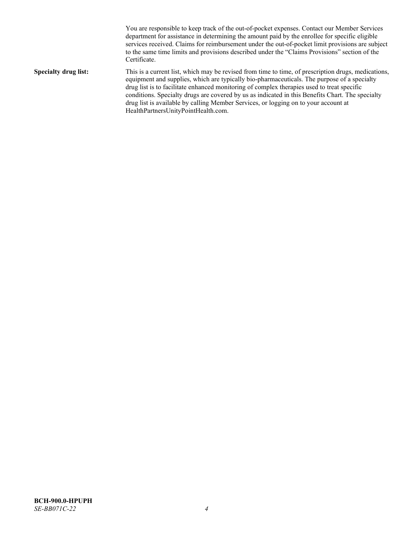You are responsible to keep track of the out-of-pocket expenses. Contact our Member Services department for assistance in determining the amount paid by the enrollee for specific eligible services received. Claims for reimbursement under the out-of-pocket limit provisions are subject to the same time limits and provisions described under the "Claims Provisions" section of the Certificate. **Specialty drug list:** This is a current list, which may be revised from time to time, of prescription drugs, medications, equipment and supplies, which are typically bio-pharmaceuticals. The purpose of a specialty drug list is to facilitate enhanced monitoring of complex therapies used to treat specific conditions. Specialty drugs are covered by us as indicated in this Benefits Chart. The specialty drug list is available by calling Member Services, or logging on to your account at [HealthPartnersUnityPointHealth.com.](https://www.healthpartnersunitypointhealth.com/)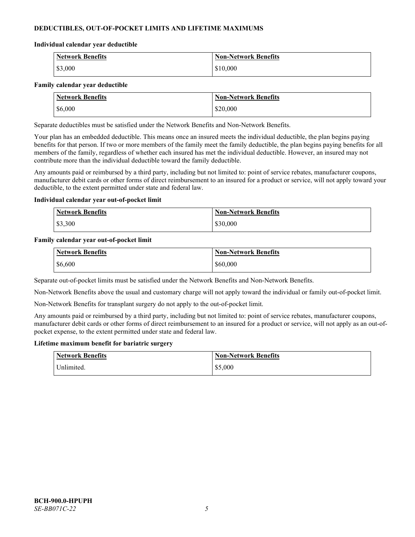# **DEDUCTIBLES, OUT-OF-POCKET LIMITS AND LIFETIME MAXIMUMS**

#### **Individual calendar year deductible**

| <b>Network Benefits</b> | <b>Non-Network Benefits</b> |
|-------------------------|-----------------------------|
| \$3,000                 | \$10,000                    |

#### **Family calendar year deductible**

| <b>Network Benefits</b> | <b>Non-Network Benefits</b> |
|-------------------------|-----------------------------|
| \$6,000                 | \$20,000                    |

Separate deductibles must be satisfied under the Network Benefits and Non-Network Benefits.

Your plan has an embedded deductible. This means once an insured meets the individual deductible, the plan begins paying benefits for that person. If two or more members of the family meet the family deductible, the plan begins paying benefits for all members of the family, regardless of whether each insured has met the individual deductible. However, an insured may not contribute more than the individual deductible toward the family deductible.

Any amounts paid or reimbursed by a third party, including but not limited to: point of service rebates, manufacturer coupons, manufacturer debit cards or other forms of direct reimbursement to an insured for a product or service, will not apply toward your deductible, to the extent permitted under state and federal law.

#### **Individual calendar year out-of-pocket limit**

| <b>Network Benefits</b> | <b>Non-Network Benefits</b> |
|-------------------------|-----------------------------|
| \$3,300                 | \$30,000                    |

#### **Family calendar year out-of-pocket limit**

| <b>Network Benefits</b> | Non-Network Benefits |
|-------------------------|----------------------|
| \$6,600                 | \$60,000             |

Separate out-of-pocket limits must be satisfied under the Network Benefits and Non-Network Benefits.

Non-Network Benefits above the usual and customary charge will not apply toward the individual or family out-of-pocket limit.

Non-Network Benefits for transplant surgery do not apply to the out-of-pocket limit.

Any amounts paid or reimbursed by a third party, including but not limited to: point of service rebates, manufacturer coupons, manufacturer debit cards or other forms of direct reimbursement to an insured for a product or service, will not apply as an out-ofpocket expense, to the extent permitted under state and federal law.

#### **Lifetime maximum benefit for bariatric surgery**

| <b>Network Benefits</b> | <b>Non-Network Benefits</b> |
|-------------------------|-----------------------------|
| <sup>I</sup> Inlimited. | \$5,000                     |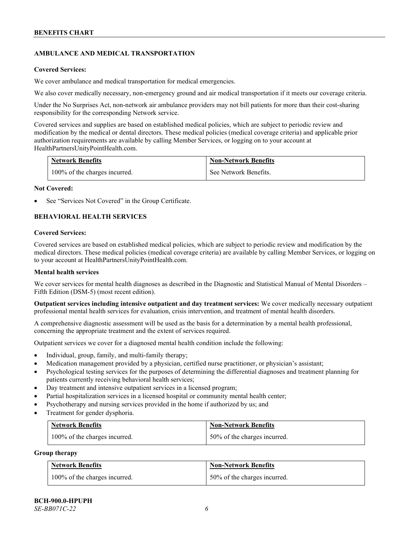# **AMBULANCE AND MEDICAL TRANSPORTATION**

#### **Covered Services:**

We cover ambulance and medical transportation for medical emergencies.

We also cover medically necessary, non-emergency ground and air medical transportation if it meets our coverage criteria.

Under the No Surprises Act, non-network air ambulance providers may not bill patients for more than their cost-sharing responsibility for the corresponding Network service.

Covered services and supplies are based on established medical policies, which are subject to periodic review and modification by the medical or dental directors. These medical policies (medical coverage criteria) and applicable prior authorization requirements are available by calling Member Services, or logging on to your account at [HealthPartnersUnityPointHealth.com.](https://www.healthpartnersunitypointhealth.com/)

| <b>Network Benefits</b>       | <b>Non-Network Benefits</b> |
|-------------------------------|-----------------------------|
| 100% of the charges incurred. | See Network Benefits.       |

#### **Not Covered:**

See "Services Not Covered" in the Group Certificate.

# **BEHAVIORAL HEALTH SERVICES**

#### **Covered Services:**

Covered services are based on established medical policies, which are subject to periodic review and modification by the medical directors. These medical policies (medical coverage criteria) are available by calling Member Services, or logging on to your account at [HealthPartnersUnityPointHealth.com.](https://www.healthpartnersunitypointhealth.com/)

#### **Mental health services**

We cover services for mental health diagnoses as described in the Diagnostic and Statistical Manual of Mental Disorders – Fifth Edition (DSM-5) (most recent edition).

**Outpatient services including intensive outpatient and day treatment services:** We cover medically necessary outpatient professional mental health services for evaluation, crisis intervention, and treatment of mental health disorders.

A comprehensive diagnostic assessment will be used as the basis for a determination by a mental health professional, concerning the appropriate treatment and the extent of services required.

Outpatient services we cover for a diagnosed mental health condition include the following:

- Individual, group, family, and multi-family therapy;
- Medication management provided by a physician, certified nurse practitioner, or physician's assistant;
- Psychological testing services for the purposes of determining the differential diagnoses and treatment planning for patients currently receiving behavioral health services;
- Day treatment and intensive outpatient services in a licensed program;
- Partial hospitalization services in a licensed hospital or community mental health center;
- Psychotherapy and nursing services provided in the home if authorized by us; and
- Treatment for gender dysphoria.

| <b>Network Benefits</b>       | <b>Non-Network Benefits</b>  |
|-------------------------------|------------------------------|
| 100% of the charges incurred. | 50% of the charges incurred. |

#### **Group therapy**

| <b>Network Benefits</b>       | <b>Non-Network Benefits</b>  |
|-------------------------------|------------------------------|
| 100% of the charges incurred. | 50% of the charges incurred. |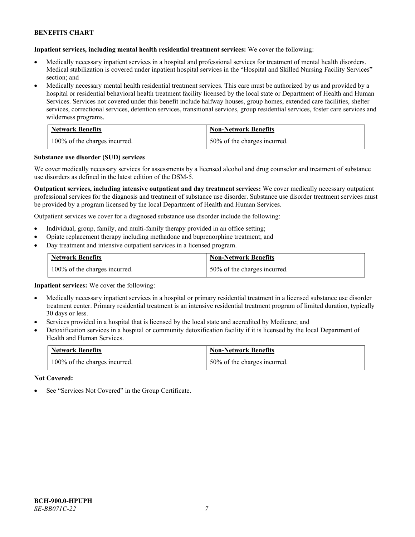**Inpatient services, including mental health residential treatment services:** We cover the following:

- Medically necessary inpatient services in a hospital and professional services for treatment of mental health disorders. Medical stabilization is covered under inpatient hospital services in the "Hospital and Skilled Nursing Facility Services" section; and
- Medically necessary mental health residential treatment services. This care must be authorized by us and provided by a hospital or residential behavioral health treatment facility licensed by the local state or Department of Health and Human Services. Services not covered under this benefit include halfway houses, group homes, extended care facilities, shelter services, correctional services, detention services, transitional services, group residential services, foster care services and wilderness programs.

| <b>Network Benefits</b>       | <b>Non-Network Benefits</b>  |
|-------------------------------|------------------------------|
| 100% of the charges incurred. | 50% of the charges incurred. |

#### **Substance use disorder (SUD) services**

We cover medically necessary services for assessments by a licensed alcohol and drug counselor and treatment of substance use disorders as defined in the latest edition of the DSM-5.

**Outpatient services, including intensive outpatient and day treatment services:** We cover medically necessary outpatient professional services for the diagnosis and treatment of substance use disorder. Substance use disorder treatment services must be provided by a program licensed by the local Department of Health and Human Services.

Outpatient services we cover for a diagnosed substance use disorder include the following:

- Individual, group, family, and multi-family therapy provided in an office setting;
- Opiate replacement therapy including methadone and buprenorphine treatment; and
- Day treatment and intensive outpatient services in a licensed program.

| <b>Network Benefits</b>       | <b>Non-Network Benefits</b>  |
|-------------------------------|------------------------------|
| 100% of the charges incurred. | 50% of the charges incurred. |

**Inpatient services:** We cover the following:

- Medically necessary inpatient services in a hospital or primary residential treatment in a licensed substance use disorder treatment center. Primary residential treatment is an intensive residential treatment program of limited duration, typically 30 days or less.
- Services provided in a hospital that is licensed by the local state and accredited by Medicare; and
- Detoxification services in a hospital or community detoxification facility if it is licensed by the local Department of Health and Human Services.

| <b>Network Benefits</b>       | <b>Non-Network Benefits</b>  |
|-------------------------------|------------------------------|
| 100% of the charges incurred. | 50% of the charges incurred. |

**Not Covered:**

See "Services Not Covered" in the Group Certificate.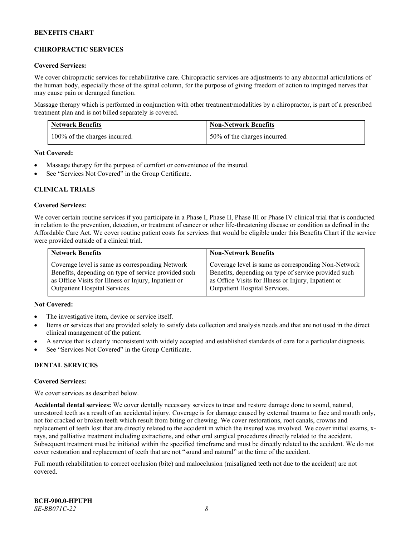# **CHIROPRACTIC SERVICES**

#### **Covered Services:**

We cover chiropractic services for rehabilitative care. Chiropractic services are adjustments to any abnormal articulations of the human body, especially those of the spinal column, for the purpose of giving freedom of action to impinged nerves that may cause pain or deranged function.

Massage therapy which is performed in conjunction with other treatment/modalities by a chiropractor, is part of a prescribed treatment plan and is not billed separately is covered.

| <b>Network Benefits</b>       | <b>Non-Network Benefits</b>  |
|-------------------------------|------------------------------|
| 100% of the charges incurred. | 50% of the charges incurred. |

**Not Covered:**

- Massage therapy for the purpose of comfort or convenience of the insured.
- See "Services Not Covered" in the Group Certificate.

# **CLINICAL TRIALS**

#### **Covered Services:**

We cover certain routine services if you participate in a Phase I, Phase II, Phase III or Phase IV clinical trial that is conducted in relation to the prevention, detection, or treatment of cancer or other life-threatening disease or condition as defined in the Affordable Care Act. We cover routine patient costs for services that would be eligible under this Benefits Chart if the service were provided outside of a clinical trial.

| <b>Network Benefits</b>                              | <b>Non-Network Benefits</b>                          |
|------------------------------------------------------|------------------------------------------------------|
| Coverage level is same as corresponding Network      | Coverage level is same as corresponding Non-Network  |
| Benefits, depending on type of service provided such | Benefits, depending on type of service provided such |
| as Office Visits for Illness or Injury, Inpatient or | as Office Visits for Illness or Injury, Inpatient or |
| <b>Outpatient Hospital Services.</b>                 | <b>Outpatient Hospital Services.</b>                 |

# **Not Covered:**

- The investigative item, device or service itself.
- Items or services that are provided solely to satisfy data collection and analysis needs and that are not used in the direct clinical management of the patient.
- A service that is clearly inconsistent with widely accepted and established standards of care for a particular diagnosis.
- See "Services Not Covered" in the Group Certificate.

# **DENTAL SERVICES**

#### **Covered Services:**

We cover services as described below.

**Accidental dental services:** We cover dentally necessary services to treat and restore damage done to sound, natural, unrestored teeth as a result of an accidental injury. Coverage is for damage caused by external trauma to face and mouth only, not for cracked or broken teeth which result from biting or chewing. We cover restorations, root canals, crowns and replacement of teeth lost that are directly related to the accident in which the insured was involved. We cover initial exams, xrays, and palliative treatment including extractions, and other oral surgical procedures directly related to the accident. Subsequent treatment must be initiated within the specified timeframe and must be directly related to the accident. We do not cover restoration and replacement of teeth that are not "sound and natural" at the time of the accident.

Full mouth rehabilitation to correct occlusion (bite) and malocclusion (misaligned teeth not due to the accident) are not covered.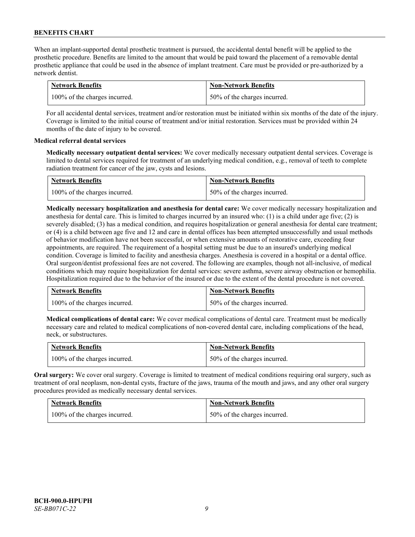When an implant-supported dental prosthetic treatment is pursued, the accidental dental benefit will be applied to the prosthetic procedure. Benefits are limited to the amount that would be paid toward the placement of a removable dental prosthetic appliance that could be used in the absence of implant treatment. Care must be provided or pre-authorized by a network dentist.

| <b>Network Benefits</b>       | <b>Non-Network Benefits</b>  |
|-------------------------------|------------------------------|
| 100% of the charges incurred. | 50% of the charges incurred. |

For all accidental dental services, treatment and/or restoration must be initiated within six months of the date of the injury. Coverage is limited to the initial course of treatment and/or initial restoration. Services must be provided within 24 months of the date of injury to be covered.

# **Medical referral dental services**

**Medically necessary outpatient dental services:** We cover medically necessary outpatient dental services. Coverage is limited to dental services required for treatment of an underlying medical condition, e.g., removal of teeth to complete radiation treatment for cancer of the jaw, cysts and lesions.

| <b>Network Benefits</b>       | <b>Non-Network Benefits</b>  |
|-------------------------------|------------------------------|
| 100% of the charges incurred. | 50% of the charges incurred. |

**Medically necessary hospitalization and anesthesia for dental care:** We cover medically necessary hospitalization and anesthesia for dental care. This is limited to charges incurred by an insured who: (1) is a child under age five; (2) is severely disabled; (3) has a medical condition, and requires hospitalization or general anesthesia for dental care treatment; or (4) is a child between age five and 12 and care in dental offices has been attempted unsuccessfully and usual methods of behavior modification have not been successful, or when extensive amounts of restorative care, exceeding four appointments, are required. The requirement of a hospital setting must be due to an insured's underlying medical condition. Coverage is limited to facility and anesthesia charges. Anesthesia is covered in a hospital or a dental office. Oral surgeon/dentist professional fees are not covered. The following are examples, though not all-inclusive, of medical conditions which may require hospitalization for dental services: severe asthma, severe airway obstruction or hemophilia. Hospitalization required due to the behavior of the insured or due to the extent of the dental procedure is not covered.

| <b>Network Benefits</b>       | <b>Non-Network Benefits</b>  |
|-------------------------------|------------------------------|
| 100% of the charges incurred. | 50% of the charges incurred. |

**Medical complications of dental care:** We cover medical complications of dental care. Treatment must be medically necessary care and related to medical complications of non-covered dental care, including complications of the head, neck, or substructures.

| <b>Network Benefits</b>       | <b>Non-Network Benefits</b>  |
|-------------------------------|------------------------------|
| 100% of the charges incurred. | 50% of the charges incurred. |

**Oral surgery:** We cover oral surgery. Coverage is limited to treatment of medical conditions requiring oral surgery, such as treatment of oral neoplasm, non-dental cysts, fracture of the jaws, trauma of the mouth and jaws, and any other oral surgery procedures provided as medically necessary dental services.

| <b>Network Benefits</b>       | <b>Non-Network Benefits</b>  |
|-------------------------------|------------------------------|
| 100% of the charges incurred. | 50% of the charges incurred. |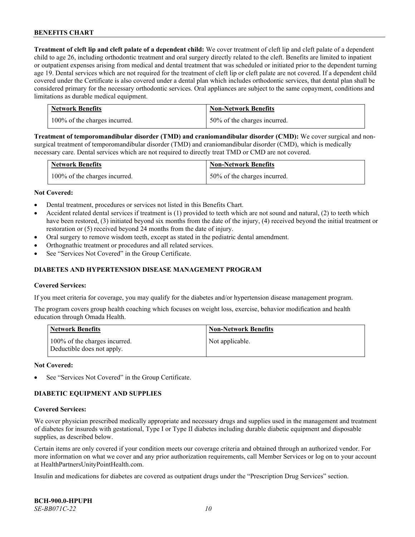**Treatment of cleft lip and cleft palate of a dependent child:** We cover treatment of cleft lip and cleft palate of a dependent child to age 26, including orthodontic treatment and oral surgery directly related to the cleft. Benefits are limited to inpatient or outpatient expenses arising from medical and dental treatment that was scheduled or initiated prior to the dependent turning age 19. Dental services which are not required for the treatment of cleft lip or cleft palate are not covered. If a dependent child covered under the Certificate is also covered under a dental plan which includes orthodontic services, that dental plan shall be considered primary for the necessary orthodontic services. Oral appliances are subject to the same copayment, conditions and limitations as durable medical equipment.

| <b>Network Benefits</b>       | <b>Non-Network Benefits</b>  |
|-------------------------------|------------------------------|
| 100% of the charges incurred. | 50% of the charges incurred. |

**Treatment of temporomandibular disorder (TMD) and craniomandibular disorder (CMD):** We cover surgical and nonsurgical treatment of temporomandibular disorder (TMD) and craniomandibular disorder (CMD), which is medically necessary care. Dental services which are not required to directly treat TMD or CMD are not covered.

| <b>Network Benefits</b>       | <b>Non-Network Benefits</b>  |
|-------------------------------|------------------------------|
| 100% of the charges incurred. | 50% of the charges incurred. |

#### **Not Covered:**

- Dental treatment, procedures or services not listed in this Benefits Chart.
- Accident related dental services if treatment is (1) provided to teeth which are not sound and natural, (2) to teeth which have been restored, (3) initiated beyond six months from the date of the injury, (4) received beyond the initial treatment or restoration or (5) received beyond 24 months from the date of injury.
- Oral surgery to remove wisdom teeth, except as stated in the pediatric dental amendment.
- Orthognathic treatment or procedures and all related services.
- See "Services Not Covered" in the Group Certificate.

#### **DIABETES AND HYPERTENSION DISEASE MANAGEMENT PROGRAM**

#### **Covered Services:**

If you meet criteria for coverage, you may qualify for the diabetes and/or hypertension disease management program.

The program covers group health coaching which focuses on weight loss, exercise, behavior modification and health education through Omada Health.

| <b>Network Benefits</b>                                     | <b>Non-Network Benefits</b> |
|-------------------------------------------------------------|-----------------------------|
| 100% of the charges incurred.<br>Deductible does not apply. | Not applicable.             |

#### **Not Covered:**

See "Services Not Covered" in the Group Certificate.

# **DIABETIC EQUIPMENT AND SUPPLIES**

#### **Covered Services:**

We cover physician prescribed medically appropriate and necessary drugs and supplies used in the management and treatment of diabetes for insureds with gestational, Type I or Type II diabetes including durable diabetic equipment and disposable supplies, as described below.

Certain items are only covered if your condition meets our coverage criteria and obtained through an authorized vendor. For more information on what we cover and any prior authorization requirements, call Member Services or log on to your account at [HealthPartnersUnityPointHealth.com.](https://www.healthpartnersunitypointhealth.com/)

Insulin and medications for diabetes are covered as outpatient drugs under the "Prescription Drug Services" section.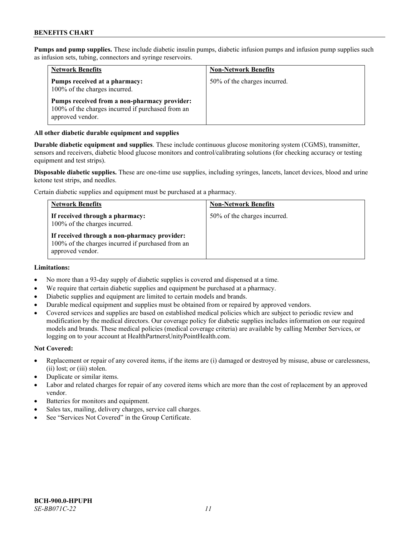**Pumps and pump supplies.** These include diabetic insulin pumps, diabetic infusion pumps and infusion pump supplies such as infusion sets, tubing, connectors and syringe reservoirs.

| <b>Network Benefits</b>                                                                                               | <b>Non-Network Benefits</b>  |
|-----------------------------------------------------------------------------------------------------------------------|------------------------------|
| Pumps received at a pharmacy:<br>100% of the charges incurred.                                                        | 50% of the charges incurred. |
| Pumps received from a non-pharmacy provider:<br>100% of the charges incurred if purchased from an<br>approved vendor. |                              |

#### **All other diabetic durable equipment and supplies**

**Durable diabetic equipment and supplies**. These include continuous glucose monitoring system (CGMS), transmitter, sensors and receivers, diabetic blood glucose monitors and control/calibrating solutions (for checking accuracy or testing equipment and test strips).

**Disposable diabetic supplies.** These are one-time use supplies, including syringes, lancets, lancet devices, blood and urine ketone test strips, and needles.

Certain diabetic supplies and equipment must be purchased at a pharmacy.

| <b>Network Benefits</b>                                                                                               | <b>Non-Network Benefits</b>  |
|-----------------------------------------------------------------------------------------------------------------------|------------------------------|
| If received through a pharmacy:<br>100% of the charges incurred.                                                      | 50% of the charges incurred. |
| If received through a non-pharmacy provider:<br>100% of the charges incurred if purchased from an<br>approved vendor. |                              |

#### **Limitations:**

- No more than a 93-day supply of diabetic supplies is covered and dispensed at a time.
- We require that certain diabetic supplies and equipment be purchased at a pharmacy.
- Diabetic supplies and equipment are limited to certain models and brands.
- Durable medical equipment and supplies must be obtained from or repaired by approved vendors.
- Covered services and supplies are based on established medical policies which are subject to periodic review and modification by the medical directors. Our coverage policy for diabetic supplies includes information on our required models and brands. These medical policies (medical coverage criteria) are available by calling Member Services, or logging on to your account a[t HealthPartnersUnityPointHealth.com.](https://www.healthpartnersunitypointhealth.com/)

#### **Not Covered:**

- Replacement or repair of any covered items, if the items are (i) damaged or destroyed by misuse, abuse or carelessness, (ii) lost; or (iii) stolen.
- Duplicate or similar items.
- Labor and related charges for repair of any covered items which are more than the cost of replacement by an approved vendor.
- Batteries for monitors and equipment.
- Sales tax, mailing, delivery charges, service call charges.
- See "Services Not Covered" in the Group Certificate.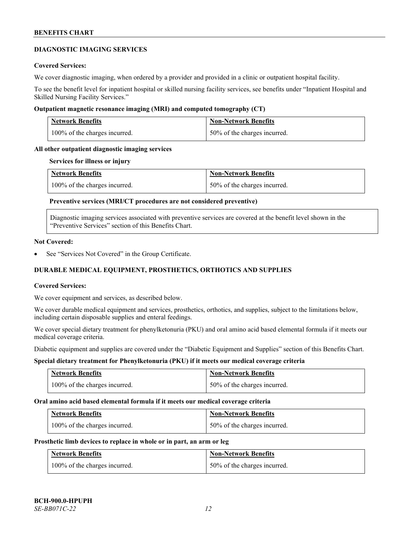#### **DIAGNOSTIC IMAGING SERVICES**

#### **Covered Services:**

We cover diagnostic imaging, when ordered by a provider and provided in a clinic or outpatient hospital facility.

To see the benefit level for inpatient hospital or skilled nursing facility services, see benefits under "Inpatient Hospital and Skilled Nursing Facility Services."

#### **Outpatient magnetic resonance imaging (MRI) and computed tomography (CT)**

| <b>Network Benefits</b>       | <b>Non-Network Benefits</b>  |
|-------------------------------|------------------------------|
| 100% of the charges incurred. | 50% of the charges incurred. |

#### **All other outpatient diagnostic imaging services**

#### **Services for illness or injury**

| <b>Network Benefits</b>       | <b>Non-Network Benefits</b>  |
|-------------------------------|------------------------------|
| 100% of the charges incurred. | 50% of the charges incurred. |

# **Preventive services (MRI/CT procedures are not considered preventive)**

Diagnostic imaging services associated with preventive services are covered at the benefit level shown in the "Preventive Services" section of this Benefits Chart.

#### **Not Covered:**

See "Services Not Covered" in the Group Certificate.

# **DURABLE MEDICAL EQUIPMENT, PROSTHETICS, ORTHOTICS AND SUPPLIES**

#### **Covered Services:**

We cover equipment and services, as described below.

We cover durable medical equipment and services, prosthetics, orthotics, and supplies, subject to the limitations below, including certain disposable supplies and enteral feedings.

We cover special dietary treatment for phenylketonuria (PKU) and oral amino acid based elemental formula if it meets our medical coverage criteria.

Diabetic equipment and supplies are covered under the "Diabetic Equipment and Supplies" section of this Benefits Chart.

# **Special dietary treatment for Phenylketonuria (PKU) if it meets our medical coverage criteria**

| <b>Network Benefits</b>       | <b>Non-Network Benefits</b>  |
|-------------------------------|------------------------------|
| 100% of the charges incurred. | 50% of the charges incurred. |

#### **Oral amino acid based elemental formula if it meets our medical coverage criteria**

| <b>Network Benefits</b>       | <b>Non-Network Benefits</b>  |
|-------------------------------|------------------------------|
| 100% of the charges incurred. | 50% of the charges incurred. |

#### **Prosthetic limb devices to replace in whole or in part, an arm or leg**

| <b>Network Benefits</b>       | <b>Non-Network Benefits</b>  |
|-------------------------------|------------------------------|
| 100% of the charges incurred. | 50% of the charges incurred. |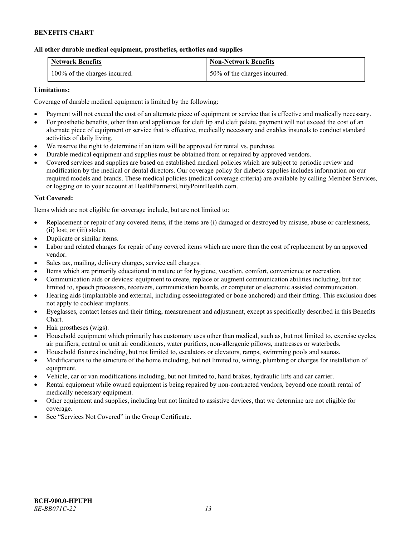#### **All other durable medical equipment, prosthetics, orthotics and supplies**

| <b>Network Benefits</b>       | <b>Non-Network Benefits</b>  |
|-------------------------------|------------------------------|
| 100% of the charges incurred. | 50% of the charges incurred. |

# **Limitations:**

Coverage of durable medical equipment is limited by the following:

- Payment will not exceed the cost of an alternate piece of equipment or service that is effective and medically necessary.
- For prosthetic benefits, other than oral appliances for cleft lip and cleft palate, payment will not exceed the cost of an alternate piece of equipment or service that is effective, medically necessary and enables insureds to conduct standard activities of daily living.
- We reserve the right to determine if an item will be approved for rental vs. purchase.
- Durable medical equipment and supplies must be obtained from or repaired by approved vendors.
- Covered services and supplies are based on established medical policies which are subject to periodic review and modification by the medical or dental directors. Our coverage policy for diabetic supplies includes information on our required models and brands. These medical policies (medical coverage criteria) are available by calling Member Services, or logging on to your account at [HealthPartnersUnityPointHealth.com.](https://www.healthpartnersunitypointhealth.com/)

# **Not Covered:**

Items which are not eligible for coverage include, but are not limited to:

- Replacement or repair of any covered items, if the items are (i) damaged or destroyed by misuse, abuse or carelessness, (ii) lost; or (iii) stolen.
- Duplicate or similar items.
- Labor and related charges for repair of any covered items which are more than the cost of replacement by an approved vendor.
- Sales tax, mailing, delivery charges, service call charges.
- Items which are primarily educational in nature or for hygiene, vocation, comfort, convenience or recreation.
- Communication aids or devices: equipment to create, replace or augment communication abilities including, but not limited to, speech processors, receivers, communication boards, or computer or electronic assisted communication.
- Hearing aids (implantable and external, including osseointegrated or bone anchored) and their fitting. This exclusion does not apply to cochlear implants.
- Eyeglasses, contact lenses and their fitting, measurement and adjustment, except as specifically described in this Benefits Chart.
- Hair prostheses (wigs).
- Household equipment which primarily has customary uses other than medical, such as, but not limited to, exercise cycles, air purifiers, central or unit air conditioners, water purifiers, non-allergenic pillows, mattresses or waterbeds.
- Household fixtures including, but not limited to, escalators or elevators, ramps, swimming pools and saunas.
- Modifications to the structure of the home including, but not limited to, wiring, plumbing or charges for installation of equipment.
- Vehicle, car or van modifications including, but not limited to, hand brakes, hydraulic lifts and car carrier.
- Rental equipment while owned equipment is being repaired by non-contracted vendors, beyond one month rental of medically necessary equipment.
- Other equipment and supplies, including but not limited to assistive devices, that we determine are not eligible for coverage.
- See "Services Not Covered" in the Group Certificate.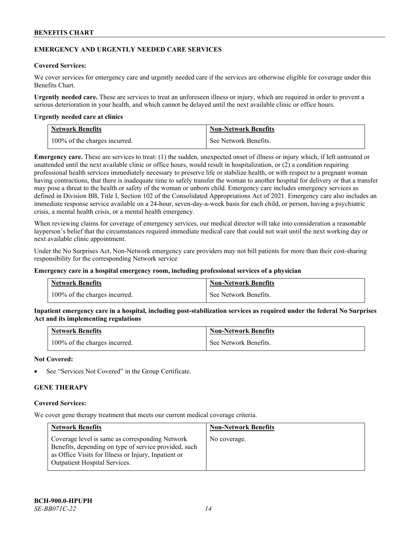#### **EMERGENCY AND URGENTLY NEEDED CARE SERVICES**

#### **Covered Services:**

We cover services for emergency care and urgently needed care if the services are otherwise eligible for coverage under this Benefits Chart.

**Urgently needed care.** These are services to treat an unforeseen illness or injury, which are required in order to prevent a serious deterioration in your health, and which cannot be delayed until the next available clinic or office hours.

#### **Urgently needed care at clinics**

| <b>Network Benefits</b>       | <b>Non-Network Benefits</b> |
|-------------------------------|-----------------------------|
| 100% of the charges incurred. | See Network Benefits.       |

**Emergency care.** These are services to treat: (1) the sudden, unexpected onset of illness or injury which, if left untreated or unattended until the next available clinic or office hours, would result in hospitalization, or (2) a condition requiring professional health services immediately necessary to preserve life or stabilize health, or with respect to a pregnant woman having contractions, that there is inadequate time to safely transfer the woman to another hospital for delivery or that a transfer may pose a threat to the health or safety of the woman or unborn child. Emergency care includes emergency services as defined in Division BB, Title I, Section 102 of the Consolidated Appropriations Act of 2021. Emergency care also includes an immediate response service available on a 24-hour, seven-day-a-week basis for each child, or person, having a psychiatric crisis, a mental health crisis, or a mental health emergency.

When reviewing claims for coverage of emergency services, our medical director will take into consideration a reasonable layperson's belief that the circumstances required immediate medical care that could not wait until the next working day or next available clinic appointment.

Under the No Surprises Act, Non-Network emergency care providers may not bill patients for more than their cost-sharing responsibility for the corresponding Network service

#### **Emergency care in a hospital emergency room, including professional services of a physician**

| <b>Network Benefits</b>       | <b>Non-Network Benefits</b> |
|-------------------------------|-----------------------------|
| 100% of the charges incurred. | See Network Benefits.       |

**Inpatient emergency care in a hospital, including post-stabilization services as required under the federal No Surprises Act and its implementing regulations**

| <b>Network Benefits</b>       | <b>Non-Network Benefits</b> |
|-------------------------------|-----------------------------|
| 100% of the charges incurred. | See Network Benefits.       |

#### **Not Covered:**

See "Services Not Covered" in the Group Certificate.

# **GENE THERAPY**

#### **Covered Services:**

We cover gene therapy treatment that meets our current medical coverage criteria.

| <b>Network Benefits</b>                                                                                                                                                                                  | <b>Non-Network Benefits</b> |
|----------------------------------------------------------------------------------------------------------------------------------------------------------------------------------------------------------|-----------------------------|
| Coverage level is same as corresponding Network<br>Benefits, depending on type of service provided, such<br>as Office Visits for Illness or Injury, Inpatient or<br><b>Outpatient Hospital Services.</b> | No coverage.                |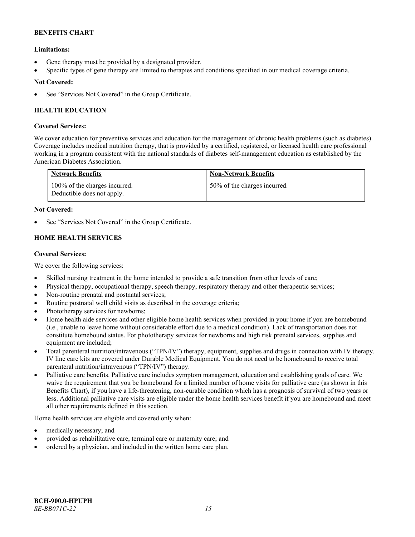# **Limitations:**

- Gene therapy must be provided by a designated provider.
- Specific types of gene therapy are limited to therapies and conditions specified in our medical coverage criteria.

# **Not Covered:**

See "Services Not Covered" in the Group Certificate.

# **HEALTH EDUCATION**

# **Covered Services:**

We cover education for preventive services and education for the management of chronic health problems (such as diabetes). Coverage includes medical nutrition therapy, that is provided by a certified, registered, or licensed health care professional working in a program consistent with the national standards of diabetes self-management education as established by the American Diabetes Association.

| <b>Network Benefits</b>                                     | <b>Non-Network Benefits</b>  |
|-------------------------------------------------------------|------------------------------|
| 100% of the charges incurred.<br>Deductible does not apply. | 50% of the charges incurred. |

# **Not Covered:**

See "Services Not Covered" in the Group Certificate.

# **HOME HEALTH SERVICES**

# **Covered Services:**

We cover the following services:

- Skilled nursing treatment in the home intended to provide a safe transition from other levels of care;
- Physical therapy, occupational therapy, speech therapy, respiratory therapy and other therapeutic services;
- Non-routine prenatal and postnatal services;
- Routine postnatal well child visits as described in the coverage criteria;
- Phototherapy services for newborns;
- Home health aide services and other eligible home health services when provided in your home if you are homebound (i.e., unable to leave home without considerable effort due to a medical condition). Lack of transportation does not constitute homebound status. For phototherapy services for newborns and high risk prenatal services, supplies and equipment are included;
- Total parenteral nutrition/intravenous ("TPN/IV") therapy, equipment, supplies and drugs in connection with IV therapy. IV line care kits are covered under Durable Medical Equipment. You do not need to be homebound to receive total parenteral nutrition/intravenous ("TPN/IV") therapy.
- Palliative care benefits. Palliative care includes symptom management, education and establishing goals of care. We waive the requirement that you be homebound for a limited number of home visits for palliative care (as shown in this Benefits Chart), if you have a life-threatening, non-curable condition which has a prognosis of survival of two years or less. Additional palliative care visits are eligible under the home health services benefit if you are homebound and meet all other requirements defined in this section.

Home health services are eligible and covered only when:

- medically necessary; and
- provided as rehabilitative care, terminal care or maternity care; and
- ordered by a physician, and included in the written home care plan.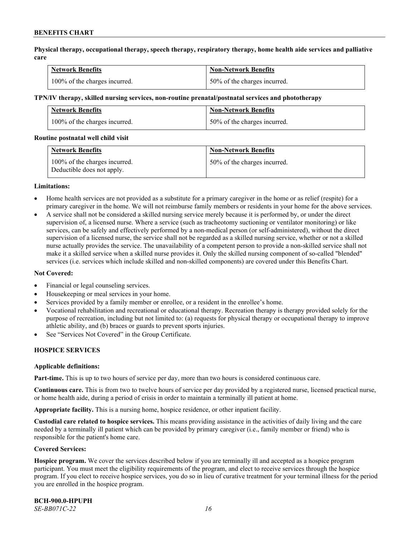**Physical therapy, occupational therapy, speech therapy, respiratory therapy, home health aide services and palliative care**

| <b>Network Benefits</b>       | <b>Non-Network Benefits</b>      |
|-------------------------------|----------------------------------|
| 100% of the charges incurred. | $150\%$ of the charges incurred. |

#### **TPN/IV therapy, skilled nursing services, non-routine prenatal/postnatal services and phototherapy**

| Network Benefits              | <b>Non-Network Benefits</b>  |
|-------------------------------|------------------------------|
| 100% of the charges incurred. | 50% of the charges incurred. |

#### **Routine postnatal well child visit**

| <b>Network Benefits</b>                                     | <b>Non-Network Benefits</b>  |
|-------------------------------------------------------------|------------------------------|
| 100% of the charges incurred.<br>Deductible does not apply. | 50% of the charges incurred. |

#### **Limitations:**

- Home health services are not provided as a substitute for a primary caregiver in the home or as relief (respite) for a primary caregiver in the home. We will not reimburse family members or residents in your home for the above services.
- A service shall not be considered a skilled nursing service merely because it is performed by, or under the direct supervision of, a licensed nurse. Where a service (such as tracheotomy suctioning or ventilator monitoring) or like services, can be safely and effectively performed by a non-medical person (or self-administered), without the direct supervision of a licensed nurse, the service shall not be regarded as a skilled nursing service, whether or not a skilled nurse actually provides the service. The unavailability of a competent person to provide a non-skilled service shall not make it a skilled service when a skilled nurse provides it. Only the skilled nursing component of so-called "blended" services (i.e. services which include skilled and non-skilled components) are covered under this Benefits Chart.

#### **Not Covered:**

- Financial or legal counseling services.
- Housekeeping or meal services in your home.
- Services provided by a family member or enrollee, or a resident in the enrollee's home.
- Vocational rehabilitation and recreational or educational therapy. Recreation therapy is therapy provided solely for the purpose of recreation, including but not limited to: (a) requests for physical therapy or occupational therapy to improve athletic ability, and (b) braces or guards to prevent sports injuries.
- See "Services Not Covered" in the Group Certificate.

# **HOSPICE SERVICES**

#### **Applicable definitions:**

**Part-time.** This is up to two hours of service per day, more than two hours is considered continuous care.

**Continuous care.** This is from two to twelve hours of service per day provided by a registered nurse, licensed practical nurse, or home health aide, during a period of crisis in order to maintain a terminally ill patient at home.

**Appropriate facility.** This is a nursing home, hospice residence, or other inpatient facility.

**Custodial care related to hospice services.** This means providing assistance in the activities of daily living and the care needed by a terminally ill patient which can be provided by primary caregiver (i.e., family member or friend) who is responsible for the patient's home care.

#### **Covered Services:**

**Hospice program.** We cover the services described below if you are terminally ill and accepted as a hospice program participant. You must meet the eligibility requirements of the program, and elect to receive services through the hospice program. If you elect to receive hospice services, you do so in lieu of curative treatment for your terminal illness for the period you are enrolled in the hospice program.

**BCH-900.0-HPUPH** *SE-BB071C-22 16*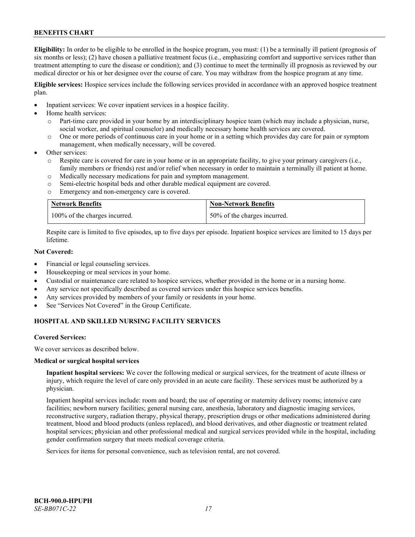**Eligibility:** In order to be eligible to be enrolled in the hospice program, you must: (1) be a terminally ill patient (prognosis of six months or less); (2) have chosen a palliative treatment focus (i.e., emphasizing comfort and supportive services rather than treatment attempting to cure the disease or condition); and (3) continue to meet the terminally ill prognosis as reviewed by our medical director or his or her designee over the course of care. You may withdraw from the hospice program at any time.

**Eligible services:** Hospice services include the following services provided in accordance with an approved hospice treatment plan.

- Inpatient services: We cover inpatient services in a hospice facility.
- Home health services:
	- o Part-time care provided in your home by an interdisciplinary hospice team (which may include a physician, nurse, social worker, and spiritual counselor) and medically necessary home health services are covered.
	- o One or more periods of continuous care in your home or in a setting which provides day care for pain or symptom management, when medically necessary, will be covered.
- Other services:
	- Respite care is covered for care in your home or in an appropriate facility, to give your primary caregivers (i.e., family members or friends) rest and/or relief when necessary in order to maintain a terminally ill patient at home.
	- o Medically necessary medications for pain and symptom management.
	- o Semi-electric hospital beds and other durable medical equipment are covered.
	- o Emergency and non-emergency care is covered.

| <b>Network Benefits</b>       | <b>Non-Network Benefits</b>  |
|-------------------------------|------------------------------|
| 100% of the charges incurred. | 50% of the charges incurred. |

Respite care is limited to five episodes, up to five days per episode. Inpatient hospice services are limited to 15 days per lifetime.

# **Not Covered:**

- Financial or legal counseling services.
- Housekeeping or meal services in your home.
- Custodial or maintenance care related to hospice services, whether provided in the home or in a nursing home.
- Any service not specifically described as covered services under this hospice services benefits.
- Any services provided by members of your family or residents in your home.
- See "Services Not Covered" in the Group Certificate.

# **HOSPITAL AND SKILLED NURSING FACILITY SERVICES**

#### **Covered Services:**

We cover services as described below.

#### **Medical or surgical hospital services**

**Inpatient hospital services:** We cover the following medical or surgical services, for the treatment of acute illness or injury, which require the level of care only provided in an acute care facility. These services must be authorized by a physician.

Inpatient hospital services include: room and board; the use of operating or maternity delivery rooms; intensive care facilities; newborn nursery facilities; general nursing care, anesthesia, laboratory and diagnostic imaging services, reconstructive surgery, radiation therapy, physical therapy, prescription drugs or other medications administered during treatment, blood and blood products (unless replaced), and blood derivatives, and other diagnostic or treatment related hospital services; physician and other professional medical and surgical services provided while in the hospital, including gender confirmation surgery that meets medical coverage criteria.

Services for items for personal convenience, such as television rental, are not covered.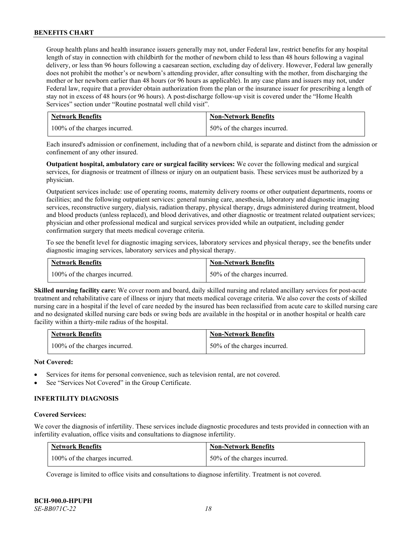Group health plans and health insurance issuers generally may not, under Federal law, restrict benefits for any hospital length of stay in connection with childbirth for the mother of newborn child to less than 48 hours following a vaginal delivery, or less than 96 hours following a caesarean section, excluding day of delivery. However, Federal law generally does not prohibit the mother's or newborn's attending provider, after consulting with the mother, from discharging the mother or her newborn earlier than 48 hours (or 96 hours as applicable). In any case plans and issuers may not, under Federal law, require that a provider obtain authorization from the plan or the insurance issuer for prescribing a length of stay not in excess of 48 hours (or 96 hours). A post-discharge follow-up visit is covered under the "Home Health Services" section under "Routine postnatal well child visit".

| <b>Network Benefits</b>       | <b>Non-Network Benefits</b>  |
|-------------------------------|------------------------------|
| 100% of the charges incurred. | 50% of the charges incurred. |

Each insured's admission or confinement, including that of a newborn child, is separate and distinct from the admission or confinement of any other insured.

**Outpatient hospital, ambulatory care or surgical facility services:** We cover the following medical and surgical services, for diagnosis or treatment of illness or injury on an outpatient basis. These services must be authorized by a physician.

Outpatient services include: use of operating rooms, maternity delivery rooms or other outpatient departments, rooms or facilities; and the following outpatient services: general nursing care, anesthesia, laboratory and diagnostic imaging services, reconstructive surgery, dialysis, radiation therapy, physical therapy, drugs administered during treatment, blood and blood products (unless replaced), and blood derivatives, and other diagnostic or treatment related outpatient services; physician and other professional medical and surgical services provided while an outpatient, including gender confirmation surgery that meets medical coverage criteria.

To see the benefit level for diagnostic imaging services, laboratory services and physical therapy, see the benefits under diagnostic imaging services, laboratory services and physical therapy.

| <b>Network Benefits</b>       | <b>Non-Network Benefits</b>  |
|-------------------------------|------------------------------|
| 100% of the charges incurred. | 50% of the charges incurred. |

**Skilled nursing facility care:** We cover room and board, daily skilled nursing and related ancillary services for post-acute treatment and rehabilitative care of illness or injury that meets medical coverage criteria. We also cover the costs of skilled nursing care in a hospital if the level of care needed by the insured has been reclassified from acute care to skilled nursing care and no designated skilled nursing care beds or swing beds are available in the hospital or in another hospital or health care facility within a thirty-mile radius of the hospital.

| <b>Network Benefits</b>       | <b>Non-Network Benefits</b>  |
|-------------------------------|------------------------------|
| 100% of the charges incurred. | 50% of the charges incurred. |

# **Not Covered:**

- Services for items for personal convenience, such as television rental, are not covered.
- See "Services Not Covered" in the Group Certificate.

# **INFERTILITY DIAGNOSIS**

#### **Covered Services:**

We cover the diagnosis of infertility. These services include diagnostic procedures and tests provided in connection with an infertility evaluation, office visits and consultations to diagnose infertility.

| <b>Network Benefits</b>       | <b>Non-Network Benefits</b>  |
|-------------------------------|------------------------------|
| 100% of the charges incurred. | 50% of the charges incurred. |

Coverage is limited to office visits and consultations to diagnose infertility. Treatment is not covered.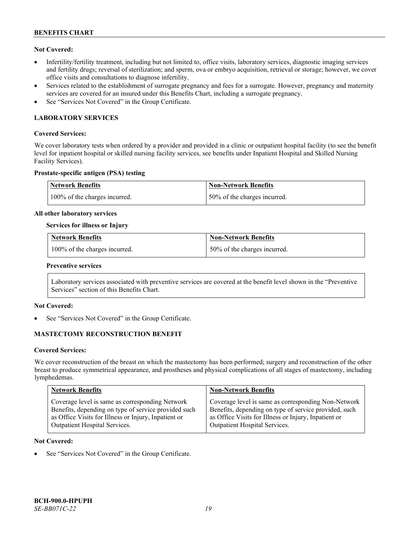# **Not Covered:**

- Infertility/fertility treatment, including but not limited to, office visits, laboratory services, diagnostic imaging services and fertility drugs; reversal of sterilization; and sperm, ova or embryo acquisition, retrieval or storage; however, we cover office visits and consultations to diagnose infertility.
- Services related to the establishment of surrogate pregnancy and fees for a surrogate. However, pregnancy and maternity services are covered for an insured under this Benefits Chart, including a surrogate pregnancy.
- See "Services Not Covered" in the Group Certificate.

# **LABORATORY SERVICES**

#### **Covered Services:**

We cover laboratory tests when ordered by a provider and provided in a clinic or outpatient hospital facility (to see the benefit level for inpatient hospital or skilled nursing facility services, see benefits under Inpatient Hospital and Skilled Nursing Facility Services).

#### **Prostate-specific antigen (PSA) testing**

| Network Benefits              | Non-Network Benefits          |
|-------------------------------|-------------------------------|
| 100% of the charges incurred. | 150% of the charges incurred. |

#### **All other laboratory services**

#### **Services for illness or Injury**

| <b>Network Benefits</b>       | <b>Non-Network Benefits</b>  |
|-------------------------------|------------------------------|
| 100% of the charges incurred. | 50% of the charges incurred. |

#### **Preventive services**

Laboratory services associated with preventive services are covered at the benefit level shown in the "Preventive Services" section of this Benefits Chart.

# **Not Covered:**

See "Services Not Covered" in the Group Certificate.

# **MASTECTOMY RECONSTRUCTION BENEFIT**

#### **Covered Services:**

We cover reconstruction of the breast on which the mastectomy has been performed; surgery and reconstruction of the other breast to produce symmetrical appearance, and prostheses and physical complications of all stages of mastectomy, including lymphedemas.

| <b>Network Benefits</b>                              | <b>Non-Network Benefits</b>                           |
|------------------------------------------------------|-------------------------------------------------------|
| Coverage level is same as corresponding Network      | Coverage level is same as corresponding Non-Network   |
| Benefits, depending on type of service provided such | Benefits, depending on type of service provided, such |
| as Office Visits for Illness or Injury, Inpatient or | as Office Visits for Illness or Injury, Inpatient or  |
| Outpatient Hospital Services.                        | Outpatient Hospital Services.                         |

#### **Not Covered:**

See "Services Not Covered" in the Group Certificate.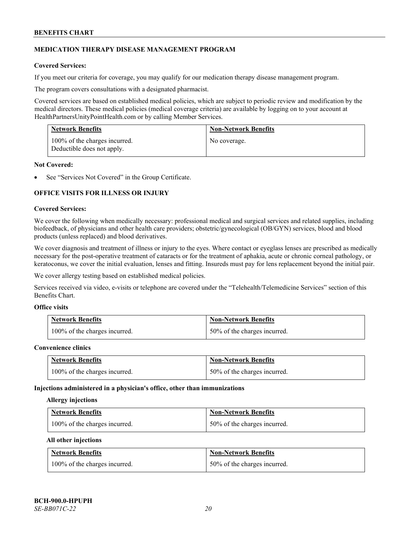# **MEDICATION THERAPY DISEASE MANAGEMENT PROGRAM**

# **Covered Services:**

If you meet our criteria for coverage, you may qualify for our medication therapy disease management program.

The program covers consultations with a designated pharmacist.

Covered services are based on established medical policies, which are subject to periodic review and modification by the medical directors. These medical policies (medical coverage criteria) are available by logging on to your account at [HealthPartnersUnityPointHealth.com](https://www.healthpartnersunitypointhealth.com/) or by calling Member Services.

| <b>Network Benefits</b>                                     | <b>Non-Network Benefits</b> |
|-------------------------------------------------------------|-----------------------------|
| 100% of the charges incurred.<br>Deductible does not apply. | No coverage.                |

#### **Not Covered:**

See "Services Not Covered" in the Group Certificate.

# **OFFICE VISITS FOR ILLNESS OR INJURY**

#### **Covered Services:**

We cover the following when medically necessary: professional medical and surgical services and related supplies, including biofeedback, of physicians and other health care providers; obstetric/gynecological (OB/GYN) services, blood and blood products (unless replaced) and blood derivatives.

We cover diagnosis and treatment of illness or injury to the eyes. Where contact or eyeglass lenses are prescribed as medically necessary for the post-operative treatment of cataracts or for the treatment of aphakia, acute or chronic corneal pathology, or keratoconus, we cover the initial evaluation, lenses and fitting. Insureds must pay for lens replacement beyond the initial pair.

We cover allergy testing based on established medical policies.

Services received via video, e-visits or telephone are covered under the "Telehealth/Telemedicine Services" section of this Benefits Chart.

# **Office visits**

| <b>Network Benefits</b>       | <b>Non-Network Benefits</b>  |
|-------------------------------|------------------------------|
| 100% of the charges incurred. | 50% of the charges incurred. |

#### **Convenience clinics**

| <b>Network Benefits</b>       | <b>Non-Network Benefits</b>  |
|-------------------------------|------------------------------|
| 100% of the charges incurred. | 50% of the charges incurred. |

#### **Injections administered in a physician's office, other than immunizations**

#### **Allergy injections**

| <b>Network Benefits</b>       | <b>Non-Network Benefits</b>  |
|-------------------------------|------------------------------|
| 100% of the charges incurred. | 50% of the charges incurred. |

#### **All other injections**

| <b>Network Benefits</b>       | <b>Non-Network Benefits</b>  |
|-------------------------------|------------------------------|
| 100% of the charges incurred. | 50% of the charges incurred. |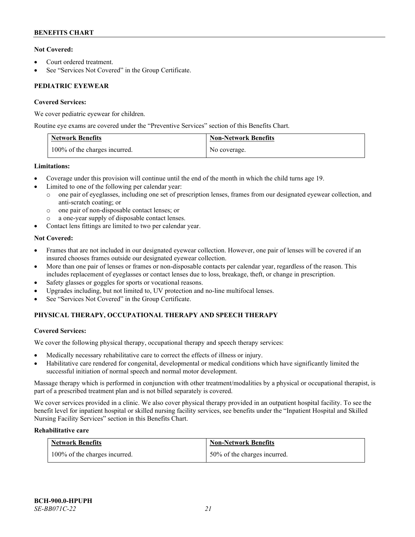# **Not Covered:**

- Court ordered treatment.
- See "Services Not Covered" in the Group Certificate.

# **PEDIATRIC EYEWEAR**

# **Covered Services:**

We cover pediatric eyewear for children.

Routine eye exams are covered under the "Preventive Services" section of this Benefits Chart.

| <b>Network Benefits</b>       | <b>Non-Network Benefits</b> |
|-------------------------------|-----------------------------|
| 100% of the charges incurred. | No coverage.                |

# **Limitations:**

- Coverage under this provision will continue until the end of the month in which the child turns age 19.
- Limited to one of the following per calendar year:
	- o one pair of eyeglasses, including one set of prescription lenses, frames from our designated eyewear collection, and anti-scratch coating; or
	- o one pair of non-disposable contact lenses; or
	- a one-year supply of disposable contact lenses.
- Contact lens fittings are limited to two per calendar year.

# **Not Covered:**

- Frames that are not included in our designated eyewear collection. However, one pair of lenses will be covered if an insured chooses frames outside our designated eyewear collection.
- More than one pair of lenses or frames or non-disposable contacts per calendar year, regardless of the reason. This includes replacement of eyeglasses or contact lenses due to loss, breakage, theft, or change in prescription.
- Safety glasses or goggles for sports or vocational reasons.
- Upgrades including, but not limited to, UV protection and no-line multifocal lenses.
- See "Services Not Covered" in the Group Certificate.

# **PHYSICAL THERAPY, OCCUPATIONAL THERAPY AND SPEECH THERAPY**

# **Covered Services:**

We cover the following physical therapy, occupational therapy and speech therapy services:

- Medically necessary rehabilitative care to correct the effects of illness or injury.
- Habilitative care rendered for congenital, developmental or medical conditions which have significantly limited the successful initiation of normal speech and normal motor development.

Massage therapy which is performed in conjunction with other treatment/modalities by a physical or occupational therapist, is part of a prescribed treatment plan and is not billed separately is covered.

We cover services provided in a clinic. We also cover physical therapy provided in an outpatient hospital facility. To see the benefit level for inpatient hospital or skilled nursing facility services, see benefits under the "Inpatient Hospital and Skilled Nursing Facility Services" section in this Benefits Chart.

# **Rehabilitative care**

| <b>Network Benefits</b>       | <b>Non-Network Benefits</b>  |
|-------------------------------|------------------------------|
| 100% of the charges incurred. | 50% of the charges incurred. |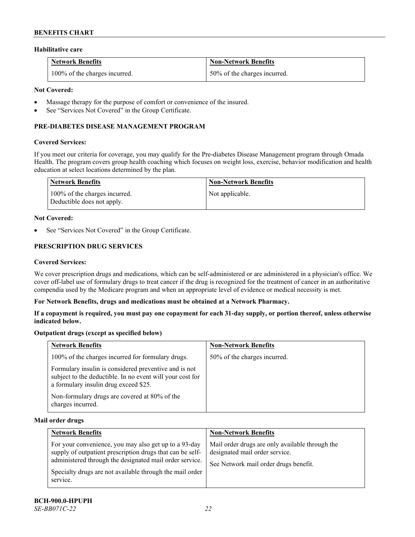#### **Habilitative care**

| <b>Network Benefits</b>       | <b>Non-Network Benefits</b>  |
|-------------------------------|------------------------------|
| 100% of the charges incurred. | 50% of the charges incurred. |

# **Not Covered:**

- Massage therapy for the purpose of comfort or convenience of the insured.
- See "Services Not Covered" in the Group Certificate.

# **PRE-DIABETES DISEASE MANAGEMENT PROGRAM**

#### **Covered Services:**

If you meet our criteria for coverage, you may qualify for the Pre-diabetes Disease Management program through Omada Health. The program covers group health coaching which focuses on weight loss, exercise, behavior modification and health education at select locations determined by the plan.

| Network Benefits                                            | <b>Non-Network Benefits</b> |
|-------------------------------------------------------------|-----------------------------|
| 100% of the charges incurred.<br>Deductible does not apply. | Not applicable.             |

#### **Not Covered:**

See "Services Not Covered" in the Group Certificate.

# **PRESCRIPTION DRUG SERVICES**

#### **Covered Services:**

We cover prescription drugs and medications, which can be self-administered or are administered in a physician's office. We cover off-label use of formulary drugs to treat cancer if the drug is recognized for the treatment of cancer in an authoritative compendia used by the Medicare program and when an appropriate level of evidence or medical necessity is met.

#### **For Network Benefits, drugs and medications must be obtained at a Network Pharmacy.**

**If a copayment is required, you must pay one copayment for each 31-day supply, or portion thereof, unless otherwise indicated below.**

# **Outpatient drugs (except as specified below)**

| <b>Network Benefits</b>                                                                                                                                     | <b>Non-Network Benefits</b>  |
|-------------------------------------------------------------------------------------------------------------------------------------------------------------|------------------------------|
| 100% of the charges incurred for formulary drugs.                                                                                                           | 50% of the charges incurred. |
| Formulary insulin is considered preventive and is not<br>subject to the deductible. In no event will your cost for<br>a formulary insulin drug exceed \$25. |                              |
| Non-formulary drugs are covered at 80% of the<br>charges incurred.                                                                                          |                              |

#### **Mail order drugs**

| <b>Network Benefits</b>                                                                                                                                                                                                                               | <b>Non-Network Benefits</b>                                                                                                |
|-------------------------------------------------------------------------------------------------------------------------------------------------------------------------------------------------------------------------------------------------------|----------------------------------------------------------------------------------------------------------------------------|
| For your convenience, you may also get up to a 93-day<br>supply of outpatient prescription drugs that can be self-<br>administered through the designated mail order service.<br>Specialty drugs are not available through the mail order<br>service. | Mail order drugs are only available through the<br>designated mail order service.<br>See Network mail order drugs benefit. |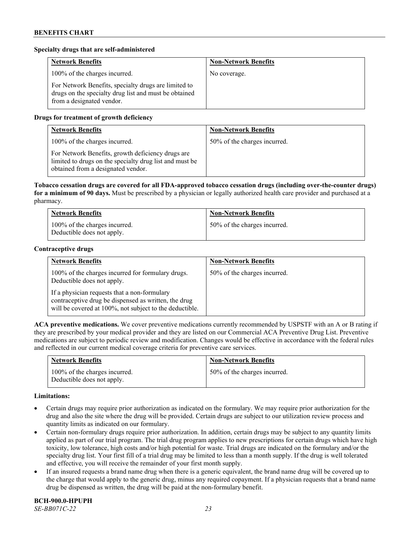#### **Specialty drugs that are self-administered**

| <b>Network Benefits</b>                                                                                                                    | <b>Non-Network Benefits</b> |
|--------------------------------------------------------------------------------------------------------------------------------------------|-----------------------------|
| 100% of the charges incurred.                                                                                                              | No coverage.                |
| For Network Benefits, specialty drugs are limited to<br>drugs on the specialty drug list and must be obtained<br>from a designated vendor. |                             |

# **Drugs for treatment of growth deficiency**

| <b>Network Benefits</b>                                                                                                                            | <b>Non-Network Benefits</b>  |
|----------------------------------------------------------------------------------------------------------------------------------------------------|------------------------------|
| 100% of the charges incurred.                                                                                                                      | 50% of the charges incurred. |
| For Network Benefits, growth deficiency drugs are<br>limited to drugs on the specialty drug list and must be<br>obtained from a designated vendor. |                              |

**Tobacco cessation drugs are covered for all FDA-approved tobacco cessation drugs (including over-the-counter drugs) for a minimum of 90 days.** Must be prescribed by a physician or legally authorized health care provider and purchased at a pharmacy.

| <b>Network Benefits</b>                                     | <b>Non-Network Benefits</b>  |
|-------------------------------------------------------------|------------------------------|
| 100% of the charges incurred.<br>Deductible does not apply. | 50% of the charges incurred. |

#### **Contraceptive drugs**

| <b>Network Benefits</b>                                                                                                                                         | <b>Non-Network Benefits</b>  |
|-----------------------------------------------------------------------------------------------------------------------------------------------------------------|------------------------------|
| 100% of the charges incurred for formulary drugs.<br>Deductible does not apply.                                                                                 | 50% of the charges incurred. |
| If a physician requests that a non-formulary<br>contraceptive drug be dispensed as written, the drug<br>will be covered at 100%, not subject to the deductible. |                              |

**ACA preventive medications.** We cover preventive medications currently recommended by USPSTF with an A or B rating if they are prescribed by your medical provider and they are listed on our Commercial ACA Preventive Drug List. Preventive medications are subject to periodic review and modification. Changes would be effective in accordance with the federal rules and reflected in our current medical coverage criteria for preventive care services.

| <b>Network Benefits</b>                                     | <b>Non-Network Benefits</b>  |
|-------------------------------------------------------------|------------------------------|
| 100% of the charges incurred.<br>Deductible does not apply. | 50% of the charges incurred. |

#### **Limitations:**

- Certain drugs may require prior authorization as indicated on the formulary. We may require prior authorization for the drug and also the site where the drug will be provided. Certain drugs are subject to our utilization review process and quantity limits as indicated on our formulary.
- Certain non-formulary drugs require prior authorization. In addition, certain drugs may be subject to any quantity limits applied as part of our trial program. The trial drug program applies to new prescriptions for certain drugs which have high toxicity, low tolerance, high costs and/or high potential for waste. Trial drugs are indicated on the formulary and/or the specialty drug list. Your first fill of a trial drug may be limited to less than a month supply. If the drug is well tolerated and effective, you will receive the remainder of your first month supply.
- If an insured requests a brand name drug when there is a generic equivalent, the brand name drug will be covered up to the charge that would apply to the generic drug, minus any required copayment. If a physician requests that a brand name drug be dispensed as written, the drug will be paid at the non-formulary benefit.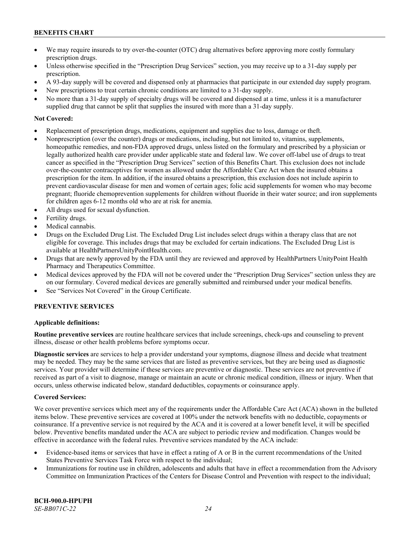- We may require insureds to try over-the-counter (OTC) drug alternatives before approving more costly formulary prescription drugs.
- Unless otherwise specified in the "Prescription Drug Services" section, you may receive up to a 31-day supply per prescription.
- A 93-day supply will be covered and dispensed only at pharmacies that participate in our extended day supply program.
- New prescriptions to treat certain chronic conditions are limited to a 31-day supply.
- No more than a 31-day supply of specialty drugs will be covered and dispensed at a time, unless it is a manufacturer supplied drug that cannot be split that supplies the insured with more than a 31-day supply.

# **Not Covered:**

- Replacement of prescription drugs, medications, equipment and supplies due to loss, damage or theft.
- Nonprescription (over the counter) drugs or medications, including, but not limited to, vitamins, supplements, homeopathic remedies, and non-FDA approved drugs, unless listed on the formulary and prescribed by a physician or legally authorized health care provider under applicable state and federal law. We cover off-label use of drugs to treat cancer as specified in the "Prescription Drug Services" section of this Benefits Chart. This exclusion does not include over-the-counter contraceptives for women as allowed under the Affordable Care Act when the insured obtains a prescription for the item. In addition, if the insured obtains a prescription, this exclusion does not include aspirin to prevent cardiovascular disease for men and women of certain ages; folic acid supplements for women who may become pregnant; fluoride chemoprevention supplements for children without fluoride in their water source; and iron supplements for children ages 6-12 months old who are at risk for anemia.
- All drugs used for sexual dysfunction.
- Fertility drugs.
- Medical cannabis.
- Drugs on the Excluded Drug List. The Excluded Drug List includes select drugs within a therapy class that are not eligible for coverage. This includes drugs that may be excluded for certain indications. The Excluded Drug List is available a[t HealthPartnersUnityPointHealth.com.](https://www.healthpartnersunitypointhealth.com/)
- Drugs that are newly approved by the FDA until they are reviewed and approved by HealthPartners UnityPoint Health Pharmacy and Therapeutics Committee.
- Medical devices approved by the FDA will not be covered under the "Prescription Drug Services" section unless they are on our formulary. Covered medical devices are generally submitted and reimbursed under your medical benefits.
- See "Services Not Covered" in the Group Certificate.

# **PREVENTIVE SERVICES**

# **Applicable definitions:**

**Routine preventive services** are routine healthcare services that include screenings, check-ups and counseling to prevent illness, disease or other health problems before symptoms occur.

**Diagnostic services** are services to help a provider understand your symptoms, diagnose illness and decide what treatment may be needed. They may be the same services that are listed as preventive services, but they are being used as diagnostic services. Your provider will determine if these services are preventive or diagnostic. These services are not preventive if received as part of a visit to diagnose, manage or maintain an acute or chronic medical condition, illness or injury. When that occurs, unless otherwise indicated below, standard deductibles, copayments or coinsurance apply.

# **Covered Services:**

We cover preventive services which meet any of the requirements under the Affordable Care Act (ACA) shown in the bulleted items below. These preventive services are covered at 100% under the network benefits with no deductible, copayments or coinsurance. If a preventive service is not required by the ACA and it is covered at a lower benefit level, it will be specified below. Preventive benefits mandated under the ACA are subject to periodic review and modification. Changes would be effective in accordance with the federal rules. Preventive services mandated by the ACA include:

- Evidence-based items or services that have in effect a rating of A or B in the current recommendations of the United States Preventive Services Task Force with respect to the individual;
- Immunizations for routine use in children, adolescents and adults that have in effect a recommendation from the Advisory Committee on Immunization Practices of the Centers for Disease Control and Prevention with respect to the individual;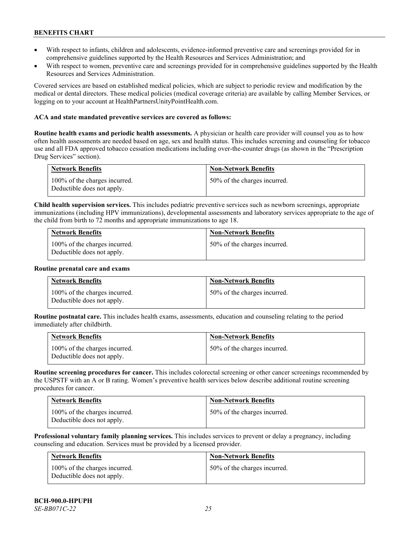- With respect to infants, children and adolescents, evidence-informed preventive care and screenings provided for in comprehensive guidelines supported by the Health Resources and Services Administration; and
- With respect to women, preventive care and screenings provided for in comprehensive guidelines supported by the Health Resources and Services Administration.

Covered services are based on established medical policies, which are subject to periodic review and modification by the medical or dental directors. These medical policies (medical coverage criteria) are available by calling Member Services, or logging on to your account at [HealthPartnersUnityPointHealth.com.](https://www.healthpartnersunitypointhealth.com/)

#### **ACA and state mandated preventive services are covered as follows:**

**Routine health exams and periodic health assessments.** A physician or health care provider will counsel you as to how often health assessments are needed based on age, sex and health status. This includes screening and counseling for tobacco use and all FDA approved tobacco cessation medications including over-the-counter drugs (as shown in the "Prescription Drug Services" section).

| <b>Network Benefits</b>                                     | <b>Non-Network Benefits</b>  |
|-------------------------------------------------------------|------------------------------|
| 100% of the charges incurred.<br>Deductible does not apply. | 50% of the charges incurred. |

**Child health supervision services.** This includes pediatric preventive services such as newborn screenings, appropriate immunizations (including HPV immunizations), developmental assessments and laboratory services appropriate to the age of the child from birth to 72 months and appropriate immunizations to age 18.

| <b>Network Benefits</b>                                     | <b>Non-Network Benefits</b>  |
|-------------------------------------------------------------|------------------------------|
| 100% of the charges incurred.<br>Deductible does not apply. | 50% of the charges incurred. |

#### **Routine prenatal care and exams**

| <b>Network Benefits</b>                                     | <b>Non-Network Benefits</b>  |
|-------------------------------------------------------------|------------------------------|
| 100% of the charges incurred.<br>Deductible does not apply. | 50% of the charges incurred. |

**Routine postnatal care.** This includes health exams, assessments, education and counseling relating to the period immediately after childbirth.

| <b>Network Benefits</b>                                     | <b>Non-Network Benefits</b>  |
|-------------------------------------------------------------|------------------------------|
| 100% of the charges incurred.<br>Deductible does not apply. | 50% of the charges incurred. |

**Routine screening procedures for cancer.** This includes colorectal screening or other cancer screenings recommended by the USPSTF with an A or B rating. Women's preventive health services below describe additional routine screening procedures for cancer.

| <b>Network Benefits</b>                                     | <b>Non-Network Benefits</b>  |
|-------------------------------------------------------------|------------------------------|
| 100% of the charges incurred.<br>Deductible does not apply. | 50% of the charges incurred. |

**Professional voluntary family planning services.** This includes services to prevent or delay a pregnancy, including counseling and education. Services must be provided by a licensed provider.

| Network Benefits                                            | <b>Non-Network Benefits</b>  |
|-------------------------------------------------------------|------------------------------|
| 100% of the charges incurred.<br>Deductible does not apply. | 50% of the charges incurred. |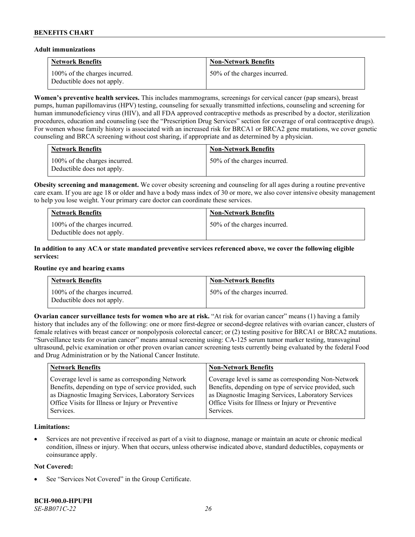#### **Adult immunizations**

| <b>Network Benefits</b>                                     | <b>Non-Network Benefits</b>  |
|-------------------------------------------------------------|------------------------------|
| 100% of the charges incurred.<br>Deductible does not apply. | 50% of the charges incurred. |

**Women's preventive health services.** This includes mammograms, screenings for cervical cancer (pap smears), breast pumps, human papillomavirus (HPV) testing, counseling for sexually transmitted infections, counseling and screening for human immunodeficiency virus (HIV), and all FDA approved contraceptive methods as prescribed by a doctor, sterilization procedures, education and counseling (see the "Prescription Drug Services" section for coverage of oral contraceptive drugs). For women whose family history is associated with an increased risk for BRCA1 or BRCA2 gene mutations, we cover genetic counseling and BRCA screening without cost sharing, if appropriate and as determined by a physician.

| <b>Network Benefits</b>                                     | <b>Non-Network Benefits</b>  |
|-------------------------------------------------------------|------------------------------|
| 100% of the charges incurred.<br>Deductible does not apply. | 50% of the charges incurred. |

**Obesity screening and management.** We cover obesity screening and counseling for all ages during a routine preventive care exam. If you are age 18 or older and have a body mass index of 30 or more, we also cover intensive obesity management to help you lose weight. Your primary care doctor can coordinate these services.

| <b>Network Benefits</b>                                     | <b>Non-Network Benefits</b>  |
|-------------------------------------------------------------|------------------------------|
| 100% of the charges incurred.<br>Deductible does not apply. | 50% of the charges incurred. |

# **In addition to any ACA or state mandated preventive services referenced above, we cover the following eligible services:**

#### **Routine eye and hearing exams**

| <b>Network Benefits</b>                                     | <b>Non-Network Benefits</b>  |
|-------------------------------------------------------------|------------------------------|
| 100% of the charges incurred.<br>Deductible does not apply. | 50% of the charges incurred. |

**Ovarian cancer surveillance tests for women who are at risk.** "At risk for ovarian cancer" means (1) having a family history that includes any of the following: one or more first-degree or second-degree relatives with ovarian cancer, clusters of female relatives with breast cancer or nonpolyposis colorectal cancer; or (2) testing positive for BRCA1 or BRCA2 mutations. "Surveillance tests for ovarian cancer" means annual screening using: CA-125 serum tumor marker testing, transvaginal ultrasound, pelvic examination or other proven ovarian cancer screening tests currently being evaluated by the federal Food and Drug Administration or by the National Cancer Institute.

| <b>Network Benefits</b>                               | <b>Non-Network Benefits</b>                           |
|-------------------------------------------------------|-------------------------------------------------------|
| Coverage level is same as corresponding Network       | Coverage level is same as corresponding Non-Network   |
| Benefits, depending on type of service provided, such | Benefits, depending on type of service provided, such |
| as Diagnostic Imaging Services, Laboratory Services   | as Diagnostic Imaging Services, Laboratory Services   |
| Office Visits for Illness or Injury or Preventive     | Office Visits for Illness or Injury or Preventive     |
| Services.                                             | Services.                                             |

# **Limitations:**

• Services are not preventive if received as part of a visit to diagnose, manage or maintain an acute or chronic medical condition, illness or injury. When that occurs, unless otherwise indicated above, standard deductibles, copayments or coinsurance apply.

# **Not Covered:**

See "Services Not Covered" in the Group Certificate.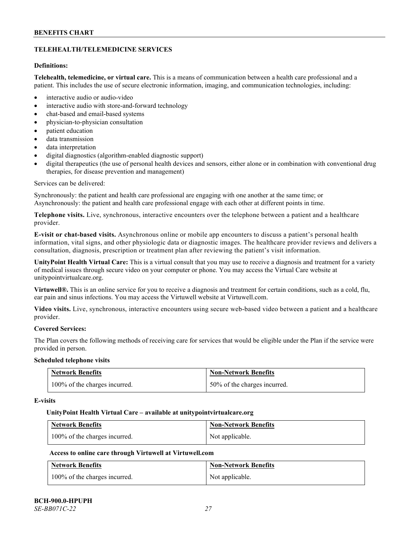# **TELEHEALTH/TELEMEDICINE SERVICES**

# **Definitions:**

**Telehealth, telemedicine, or virtual care.** This is a means of communication between a health care professional and a patient. This includes the use of secure electronic information, imaging, and communication technologies, including:

- interactive audio or audio-video
- interactive audio with store-and-forward technology
- chat-based and email-based systems
- physician-to-physician consultation
- patient education
- data transmission
- data interpretation
- digital diagnostics (algorithm-enabled diagnostic support)
- digital therapeutics (the use of personal health devices and sensors, either alone or in combination with conventional drug therapies, for disease prevention and management)

#### Services can be delivered:

Synchronously: the patient and health care professional are engaging with one another at the same time; or Asynchronously: the patient and health care professional engage with each other at different points in time.

**Telephone visits.** Live, synchronous, interactive encounters over the telephone between a patient and a healthcare provider.

**E-visit or chat-based visits.** Asynchronous online or mobile app encounters to discuss a patient's personal health information, vital signs, and other physiologic data or diagnostic images. The healthcare provider reviews and delivers a consultation, diagnosis, prescription or treatment plan after reviewing the patient's visit information.

**UnityPoint Health Virtual Care:** This is a virtual consult that you may use to receive a diagnosis and treatment for a variety of medical issues through secure video on your computer or phone. You may access the Virtual Care website at [unitypointvirtualcare.org.](https://unitypointvirtualcare.org/landing.htm)

**Virtuwell®.** This is an online service for you to receive a diagnosis and treatment for certain conditions, such as a cold, flu, ear pain and sinus infections. You may access the Virtuwell website at [Virtuwell.com.](https://www.virtuwell.com/)

**Video visits.** Live, synchronous, interactive encounters using secure web-based video between a patient and a healthcare provider.

# **Covered Services:**

The Plan covers the following methods of receiving care for services that would be eligible under the Plan if the service were provided in person.

#### **Scheduled telephone visits**

| <b>Network Benefits</b>       | <b>Non-Network Benefits</b>  |
|-------------------------------|------------------------------|
| 100% of the charges incurred. | 50% of the charges incurred. |

#### **E-visits**

#### **UnityPoint Health Virtual Care – available a[t unitypointvirtualcare.org](http://www.unitypointvirtualcare.org/)**

| <b>Network Benefits</b>       | <b>Non-Network Benefits</b> |
|-------------------------------|-----------------------------|
| 100% of the charges incurred. | Not applicable.             |

# **Access to online care through Virtuwell at [Virtuwell.com](http://www.virtuwell.com/)**

| <b>Network Benefits</b>       | <b>Non-Network Benefits</b> |
|-------------------------------|-----------------------------|
| 100% of the charges incurred. | Not applicable.             |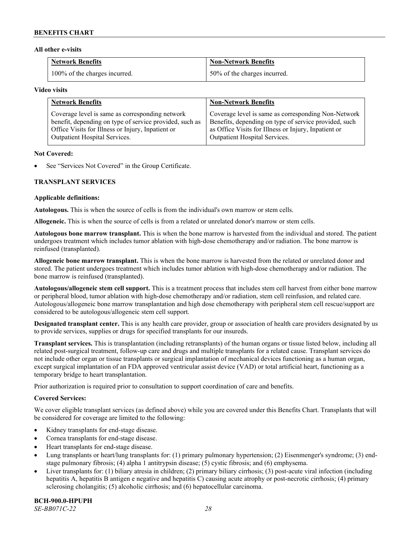#### **All other e-visits**

| <b>Network Benefits</b>       | <b>Non-Network Benefits</b>  |
|-------------------------------|------------------------------|
| 100% of the charges incurred. | 50% of the charges incurred. |

#### **Video visits**

| <b>Network Benefits</b>                                 | <b>Non-Network Benefits</b>                           |
|---------------------------------------------------------|-------------------------------------------------------|
| Coverage level is same as corresponding network         | Coverage level is same as corresponding Non-Network   |
| benefit, depending on type of service provided, such as | Benefits, depending on type of service provided, such |
| Office Visits for Illness or Injury, Inpatient or       | as Office Visits for Illness or Injury, Inpatient or  |
| Outpatient Hospital Services.                           | Outpatient Hospital Services.                         |

#### **Not Covered:**

See "Services Not Covered" in the Group Certificate.

# **TRANSPLANT SERVICES**

#### **Applicable definitions:**

**Autologous.** This is when the source of cells is from the individual's own marrow or stem cells.

**Allogeneic.** This is when the source of cells is from a related or unrelated donor's marrow or stem cells.

**Autologous bone marrow transplant.** This is when the bone marrow is harvested from the individual and stored. The patient undergoes treatment which includes tumor ablation with high-dose chemotherapy and/or radiation. The bone marrow is reinfused (transplanted).

**Allogeneic bone marrow transplant.** This is when the bone marrow is harvested from the related or unrelated donor and stored. The patient undergoes treatment which includes tumor ablation with high-dose chemotherapy and/or radiation. The bone marrow is reinfused (transplanted).

**Autologous/allogeneic stem cell support.** This is a treatment process that includes stem cell harvest from either bone marrow or peripheral blood, tumor ablation with high-dose chemotherapy and/or radiation, stem cell reinfusion, and related care. Autologous/allogeneic bone marrow transplantation and high dose chemotherapy with peripheral stem cell rescue/support are considered to be autologous/allogeneic stem cell support.

**Designated transplant center.** This is any health care provider, group or association of health care providers designated by us to provide services, supplies or drugs for specified transplants for our insureds.

**Transplant services.** This is transplantation (including retransplants) of the human organs or tissue listed below, including all related post-surgical treatment, follow-up care and drugs and multiple transplants for a related cause. Transplant services do not include other organ or tissue transplants or surgical implantation of mechanical devices functioning as a human organ, except surgical implantation of an FDA approved ventricular assist device (VAD) or total artificial heart, functioning as a temporary bridge to heart transplantation.

Prior authorization is required prior to consultation to support coordination of care and benefits.

# **Covered Services:**

We cover eligible transplant services (as defined above) while you are covered under this Benefits Chart. Transplants that will be considered for coverage are limited to the following:

- Kidney transplants for end-stage disease.
- Cornea transplants for end-stage disease.
- Heart transplants for end-stage disease.
- Lung transplants or heart/lung transplants for: (1) primary pulmonary hypertension; (2) Eisenmenger's syndrome; (3) endstage pulmonary fibrosis; (4) alpha 1 antitrypsin disease; (5) cystic fibrosis; and (6) emphysema.
- Liver transplants for: (1) biliary atresia in children; (2) primary biliary cirrhosis; (3) post-acute viral infection (including hepatitis A, hepatitis B antigen e negative and hepatitis C) causing acute atrophy or post-necrotic cirrhosis; (4) primary sclerosing cholangitis; (5) alcoholic cirrhosis; and (6) hepatocellular carcinoma.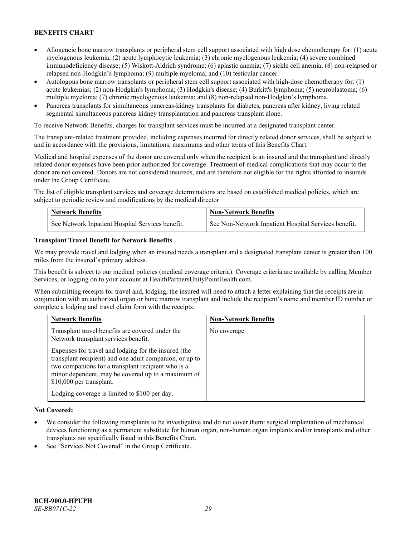- Allogeneic bone marrow transplants or peripheral stem cell support associated with high dose chemotherapy for: (1) acute myelogenous leukemia; (2) acute lymphocytic leukemia; (3) chronic myelogenous leukemia; (4) severe combined immunodeficiency disease; (5) Wiskott-Aldrich syndrome; (6) aplastic anemia; (7) sickle cell anemia; (8) non-relapsed or relapsed non-Hodgkin's lymphoma; (9) multiple myeloma; and (10) testicular cancer.
- Autologous bone marrow transplants or peripheral stem cell support associated with high-dose chemotherapy for: (1) acute leukemias; (2) non-Hodgkin's lymphoma; (3) Hodgkin's disease; (4) Burkitt's lymphoma; (5) neuroblastoma; (6) multiple myeloma; (7) chronic myelogenous leukemia; and (8) non-relapsed non-Hodgkin's lymphoma.
- Pancreas transplants for simultaneous pancreas-kidney transplants for diabetes, pancreas after kidney, living related segmental simultaneous pancreas kidney transplantation and pancreas transplant alone.

To receive Network Benefits, charges for transplant services must be incurred at a designated transplant center.

The transplant-related treatment provided, including expenses incurred for directly related donor services, shall be subject to and in accordance with the provisions, limitations, maximums and other terms of this Benefits Chart.

Medical and hospital expenses of the donor are covered only when the recipient is an insured and the transplant and directly related donor expenses have been prior authorized for coverage. Treatment of medical complications that may occur to the donor are not covered. Donors are not considered insureds, and are therefore not eligible for the rights afforded to insureds under the Group Certificate.

The list of eligible transplant services and coverage determinations are based on established medical policies, which are subject to periodic review and modifications by the medical director

| <b>Network Benefits</b>                          | <b>Non-Network Benefits</b>                          |
|--------------------------------------------------|------------------------------------------------------|
| See Network Inpatient Hospital Services benefit. | See Non-Network Inpatient Hospital Services benefit. |

# **Transplant Travel Benefit for Network Benefits**

We may provide travel and lodging when an insured needs a transplant and a designated transplant center is greater than 100 miles from the insured's primary address.

This benefit is subject to our medical policies (medical coverage criteria). Coverage criteria are available by calling Member Services, or logging on to your account at [HealthPartnersUnityPointHealth.com.](https://www.healthpartnersunitypointhealth.com/)

When submitting receipts for travel and, lodging, the insured will need to attach a letter explaining that the receipts are in conjunction with an authorized organ or bone marrow transplant and include the recipient's name and member ID number or complete a lodging and travel claim form with the receipts.

| <b>Network Benefits</b>                                                                                                                                                                                                                                 | <b>Non-Network Benefits</b> |
|---------------------------------------------------------------------------------------------------------------------------------------------------------------------------------------------------------------------------------------------------------|-----------------------------|
| Transplant travel benefits are covered under the<br>Network transplant services benefit.                                                                                                                                                                | No coverage.                |
| Expenses for travel and lodging for the insured (the<br>transplant recipient) and one adult companion, or up to<br>two companions for a transplant recipient who is a<br>minor dependent, may be covered up to a maximum of<br>\$10,000 per transplant. |                             |
| Lodging coverage is limited to \$100 per day.                                                                                                                                                                                                           |                             |

# **Not Covered:**

- We consider the following transplants to be investigative and do not cover them: surgical implantation of mechanical devices functioning as a permanent substitute for human organ, non-human organ implants and/or transplants and other transplants not specifically listed in this Benefits Chart.
- See "Services Not Covered" in the Group Certificate.